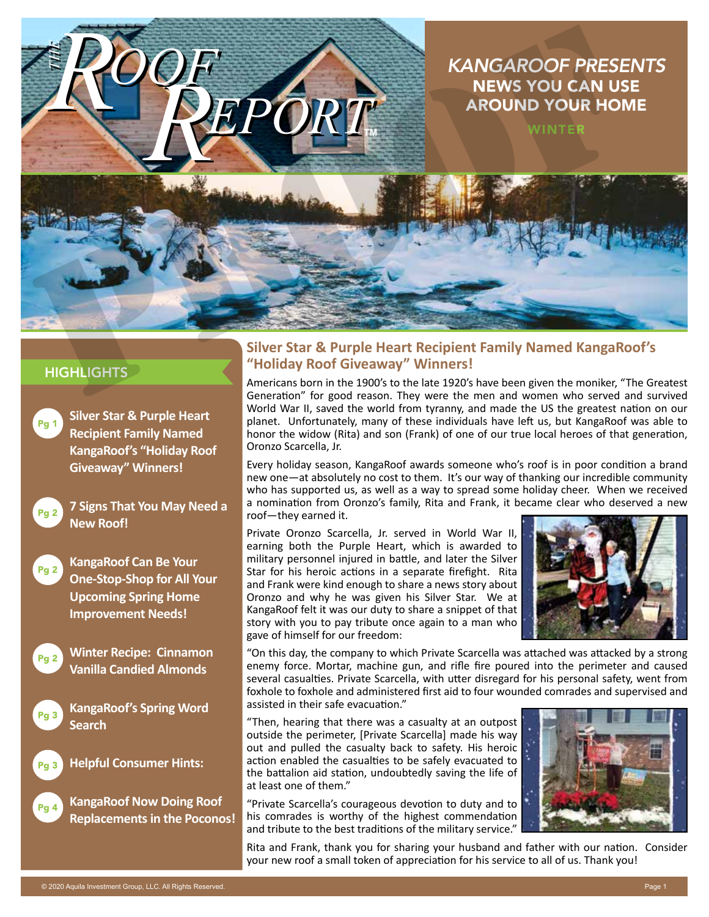## *KANGAROOF PRESENTS* NEWS YOU CAN USE AROUND YOUR HOME



**TM**

*EPORT*

## **HIGHLIGHTS**

*THE*

**Silver Star & Purple Heart Recipient Family Named KangaRoof's "Holiday Roof Giveaway" Winners!** Pg 1



**7 Signs That You May Need a New Roof!**

*OOF*



**KangaRoof Can Be Your One-Stop-Shop for All Your Upcoming Spring Home Improvement Needs!**



**Winter Recipe: Cinnamon Vanilla Candied Almonds**



**KangaRoof's Spring Word Search**



**Helpful Consumer Hints:**



**KangaRoof Now Doing Roof Replacements in the Poconos!**

## **Silver Star & Purple Heart Recipient Family Named KangaRoof's "Holiday Roof Giveaway" Winners!**

Americans born in the 1900's to the late 1920's have been given the moniker, "The Greatest Generation" for good reason. They were the men and women who served and survived World War II, saved the world from tyranny, and made the US the greatest nation on our planet. Unfortunately, many of these individuals have left us, but KangaRoof was able to honor the widow (Rita) and son (Frank) of one of our true local heroes of that generation, Oronzo Scarcella, Jr.

Every holiday season, KangaRoof awards someone who's roof is in poor condition a brand new one—at absolutely no cost to them. It's our way of thanking our incredible community who has supported us, as well as a way to spread some holiday cheer. When we received a nomination from Oronzo's family, Rita and Frank, it became clear who deserved a new roof—they earned it.

Private Oronzo Scarcella, Jr. served in World War II, earning both the Purple Heart, which is awarded to military personnel injured in battle, and later the Silver Star for his heroic actions in a separate firefight. Rita and Frank were kind enough to share a news story about Oronzo and why he was given his Silver Star. We at KangaRoof felt it was our duty to share a snippet of that story with you to pay tribute once again to a man who gave of himself for our freedom:



"On this day, the company to which Private Scarcella was attached was attacked by a strong enemy force. Mortar, machine gun, and rifle fire poured into the perimeter and caused several casualties. Private Scarcella, with utter disregard for his personal safety, went from foxhole to foxhole and administered first aid to four wounded comrades and supervised and assisted in their safe evacuation."

"Then, hearing that there was a casualty at an outpost outside the perimeter, [Private Scarcella] made his way out and pulled the casualty back to safety. His heroic action enabled the casualties to be safely evacuated to the battalion aid station, undoubtedly saving the life of at least one of them."

"Private Scarcella's courageous devotion to duty and to his comrades is worthy of the highest commendation and tribute to the best traditions of the military service."



Rita and Frank, thank you for sharing your husband and father with our nation. Consider your new roof a small token of appreciation for his service to all of us. Thank you!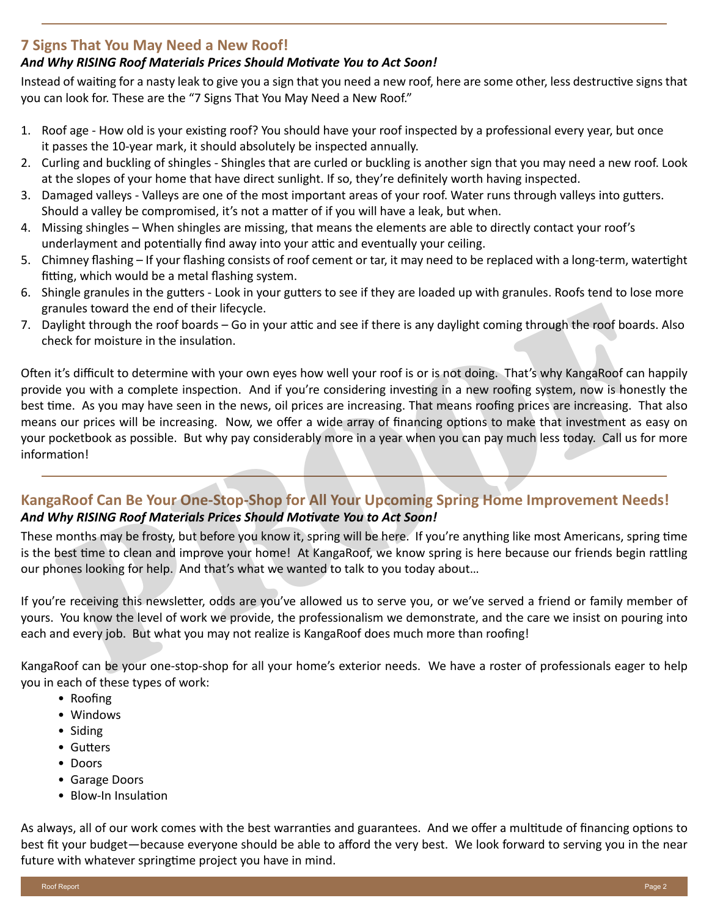## **7 Signs That You May Need a New Roof!**

## *And Why RISING Roof Materials Prices Should Motivate You to Act Soon!*

Instead of waiting for a nasty leak to give you a sign that you need a new roof, here are some other, less destructive signs that you can look for. These are the "7 Signs That You May Need a New Roof."

- 1. Roof age How old is your existing roof? You should have your roof inspected by a professional every year, but once it passes the 10-year mark, it should absolutely be inspected annually.
- 2. Curling and buckling of shingles Shingles that are curled or buckling is another sign that you may need a new roof. Look at the slopes of your home that have direct sunlight. If so, they're definitely worth having inspected.
- 3. Damaged valleys Valleys are one of the most important areas of your roof. Water runs through valleys into gutters. Should a valley be compromised, it's not a matter of if you will have a leak, but when.
- 4. Missing shingles When shingles are missing, that means the elements are able to directly contact your roof's underlayment and potentially find away into your attic and eventually your ceiling.
- 5. Chimney flashing If your flashing consists of roof cement or tar, it may need to be replaced with a long-term, watertight fitting, which would be a metal flashing system.
- 6. Shingle granules in the gutters Look in your gutters to see if they are loaded up with granules. Roofs tend to lose more granules toward the end of their lifecycle.
- 7. Daylight through the roof boards Go in your attic and see if there is any daylight coming through the roof boards. Also check for moisture in the insulation.

Often it's difficult to determine with your own eyes how well your roof is or is not doing. That's why KangaRoof can happily provide you with a complete inspection. And if you're considering investing in a new roofing system, now is honestly the best time. As you may have seen in the news, oil prices are increasing. That means roofing prices are increasing. That also means our prices will be increasing. Now, we offer a wide array of financing options to make that investment as easy on your pocketbook as possible. But why pay considerably more in a year when you can pay much less today. Call us for more information! anules toward the end of their lifecycle.<br>Wildt through the roof boards – Go in your attic and see if there is any daylight coming through the roof boards<br>eck for moisture in the insulation.<br>It's difficult to determine wit

## **KangaRoof Can Be Your One-Stop-Shop for All Your Upcoming Spring Home Improvement Needs!** *And Why RISING Roof Materials Prices Should Motivate You to Act Soon!*

These months may be frosty, but before you know it, spring will be here. If you're anything like most Americans, spring time is the best time to clean and improve your home! At KangaRoof, we know spring is here because our friends begin rattling our phones looking for help. And that's what we wanted to talk to you today about…

If you're receiving this newsletter, odds are you've allowed us to serve you, or we've served a friend or family member of yours. You know the level of work we provide, the professionalism we demonstrate, and the care we insist on pouring into each and every job. But what you may not realize is KangaRoof does much more than roofing!

KangaRoof can be your one-stop-shop for all your home's exterior needs. We have a roster of professionals eager to help you in each of these types of work:

- Roofing
- Windows
- Siding
- Gutters
- Doors
- Garage Doors
- Blow-In Insulation

As always, all of our work comes with the best warranties and guarantees. And we offer a multitude of financing options to best fit your budget—because everyone should be able to afford the very best. We look forward to serving you in the near future with whatever springtime project you have in mind.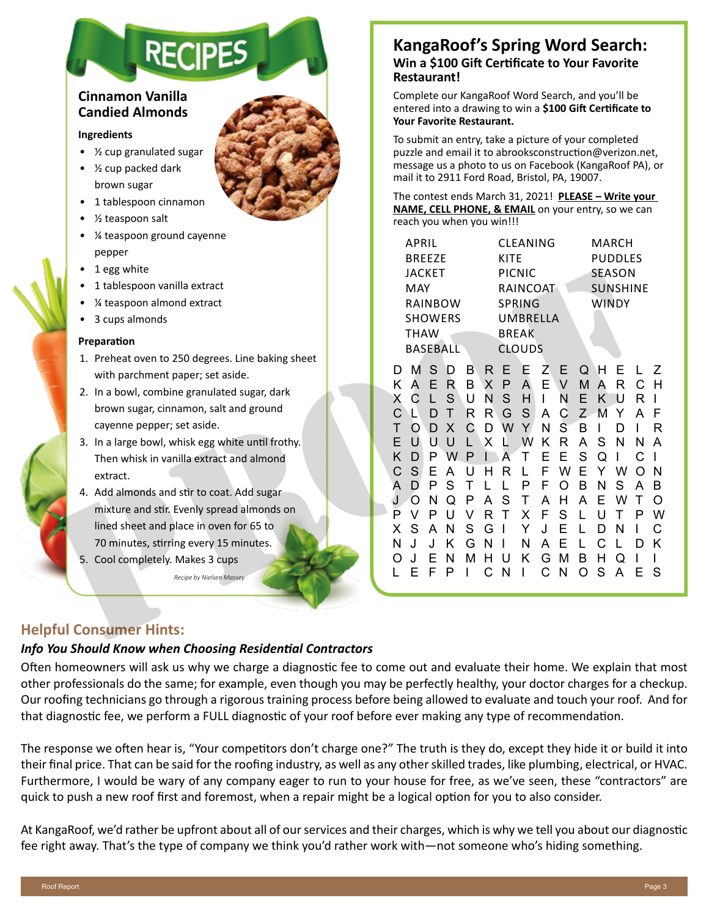# **RECIPES**

## **Cinnamon Vanilla Candied Almonds**

#### **Ingredients**

- ½ cup granulated sugar
- ½ cup packed dark brown sugar
- 1 tablespoon cinnamon
- ½ teaspoon salt
- ¼ teaspoon ground cayenne pepper
- 1 egg white
- 1 tablespoon vanilla extract
- ¼ teaspoon almond extract
- 3 cups almonds

#### **Preparation**

- 1. Preheat oven to 250 degrees. Line baking sheet with parchment paper; set aside.
- 2. In a bowl, combine granulated sugar, dark brown sugar, cinnamon, salt and ground cayenne pepper; set aside.
- 3. In a large bowl, whisk egg white until frothy. Then whisk in vanilla extract and almond extract.
- 4. Add almonds and stir to coat. Add sugar mixture and stir. Evenly spread almonds on lined sheet and place in oven for 65 to 70 minutes, stirring every 15 minutes.
- 5. Cool completely. Makes 3 cups

## **KangaRoof's Spring Word Search: Win a \$100 Gift Certificate to Your Favorite Restaurant!**

Complete our KangaRoof Word Search, and you'll be entered into a drawing to win a **\$100 Gift Certificate to Your Favorite Restaurant.**

To submit an entry, take a picture of your completed puzzle and email it to abrooksconstruction@verizon.net, message us a photo to us on Facebook (KangaRoof PA), or mail it to 2911 Ford Road, Bristol, PA, 19007.

The contest ends March 31, 2021! **PLEASE – Write your NAME, CELL PHONE, & EMAIL** on your entry, so we can reach you when you win!!!

| $\sim$ coopoon ground cayering                    |               |                                                          | APRIL       |                   |        |                                              | <b>CLEANING</b>   |                   |    |                  |               |                 | <b>MARCH</b> |     |                         |
|---------------------------------------------------|---------------|----------------------------------------------------------|-------------|-------------------|--------|----------------------------------------------|-------------------|-------------------|----|------------------|---------------|-----------------|--------------|-----|-------------------------|
| pepper                                            | <b>BREEZE</b> |                                                          |             |                   |        | <b>KITE</b>                                  |                   |                   |    | <b>PUDDLES</b>   |               |                 |              |     |                         |
| 1 egg white<br>٠                                  |               | <b>JACKET</b><br><b>MAY</b><br>RAINBOW<br><b>SHOWERS</b> |             |                   |        | PICNIC                                       |                   |                   |    |                  |               | SEASON          |              |     |                         |
| 1 tablespoon vanilla extract                      |               |                                                          |             |                   |        | RAINCOAT<br><b>SPRING</b><br><b>UMBRELLA</b> |                   |                   |    |                  |               | <b>SUNSHINE</b> |              |     |                         |
| 1/4 teaspoon almond extract                       |               |                                                          |             |                   |        |                                              |                   |                   |    | <b>WINDY</b>     |               |                 |              |     |                         |
| 3 cups almonds                                    |               |                                                          |             |                   |        |                                              |                   |                   |    |                  |               |                 |              |     |                         |
| Preparation                                       |               |                                                          | <b>THAW</b> |                   |        |                                              | <b>BREAK</b>      |                   |    |                  |               |                 |              |     |                         |
| 1. Preheat oven to 250 degrees. Line baking sheet |               |                                                          |             | <b>BASEBALL</b>   |        |                                              | <b>CLOUDS</b>     |                   |    |                  |               |                 |              |     |                         |
| with parchment paper; set aside.                  |               | D                                                        | M           | <sub>S</sub><br>D | B      | R.                                           | E                 | Е                 | Z. | E                | Q             | Н               | Ε            |     | Z                       |
| 2. In a bowl, combine granulated sugar, dark      |               | K.                                                       | A<br>C.     | E R<br>S          | B<br>U | $\sf X$<br>N                                 | $\mathsf{P}$<br>S | $\mathsf{A}$<br>H | E  | V<br>N           | M<br>Ε        | A<br>K          | R<br>Ð       |     | H                       |
| brown sugar, cinnamon, salt and ground            |               |                                                          |             | D                 | R      | R                                            | G                 | S                 | A  | C                | $\mathcal{Z}$ | M               |              |     | -F                      |
| cayenne pepper; set aside.                        |               |                                                          |             | $\mathsf{X}$<br>D | C      | D                                            | W                 | Y.                | N  | S                | B             |                 |              |     | R                       |
| 3. In a large bowl, whisk egg white until frothy. |               |                                                          |             | П<br>U            |        | X                                            |                   | W                 | K  | R                | A             | S               | N            | N   | $\overline{\mathsf{A}}$ |
| Then whisk in vanilla extract and almond          |               | Κ                                                        |             | P<br>W            | P      |                                              |                   |                   | Ε  | F                | S             | Q               |              |     |                         |
| extract.                                          |               |                                                          | S           | E<br>A<br>P       |        |                                              |                   |                   |    | w                | F             |                 |              |     | -N                      |
| 4. Add almonds and stir to coat. Add sugar        |               |                                                          |             | S<br>O            |        |                                              |                   |                   |    | $\left( \right)$ | B             | N<br>F          |              |     | B<br>O                  |
| mixture and stir. Evenly spread almonds on        |               | D                                                        |             |                   |        | R                                            |                   |                   |    |                  |               |                 |              |     | W                       |
| lined sheet and place in oven for 65 to           |               |                                                          |             | N                 | S      | G                                            |                   |                   |    |                  |               |                 |              |     | C                       |
| 70 minutes, stirring every 15 minutes.            |               | N                                                        |             |                   | G      | N                                            |                   | N                 |    |                  |               |                 |              |     | K                       |
| 5. Cool completely. Makes 3 cups                  |               |                                                          |             | N                 |        | н                                            |                   | Κ                 | G  | м                | B             | н               |              |     |                         |
| Recipe by Nielsen Massey                          |               |                                                          | F           | P<br>F            |        |                                              | N                 |                   | C  | N                | O             | S               | A            | E S |                         |
|                                                   |               |                                                          |             |                   |        |                                              |                   |                   |    |                  |               |                 |              |     |                         |
|                                                   |               |                                                          |             |                   |        |                                              |                   |                   |    |                  |               |                 |              |     |                         |
| ful Consumer Hints:                               |               |                                                          |             |                   |        |                                              |                   |                   |    |                  |               |                 |              |     |                         |
|                                                   |               |                                                          |             |                   |        |                                              |                   |                   |    |                  |               |                 |              |     |                         |

## **Helpful Consumer Hints:**

#### *Info You Should Know when Choosing Residential Contractors*

Often homeowners will ask us why we charge a diagnostic fee to come out and evaluate their home. We explain that most other professionals do the same; for example, even though you may be perfectly healthy, your doctor charges for a checkup. Our roofing technicians go through a rigorous training process before being allowed to evaluate and touch your roof. And for that diagnostic fee, we perform a FULL diagnostic of your roof before ever making any type of recommendation.

The response we often hear is, "Your competitors don't charge one?" The truth is they do, except they hide it or build it into their final price. That can be said for the roofing industry, as well as any other skilled trades, like plumbing, electrical, or HVAC. Furthermore, I would be wary of any company eager to run to your house for free, as we've seen, these "contractors" are quick to push a new roof first and foremost, when a repair might be a logical option for you to also consider.

At KangaRoof, we'd rather be upfront about all of our services and their charges, which is why we tell you about our diagnostic fee right away. That's the type of company we think you'd rather work with—not someone who's hiding something.